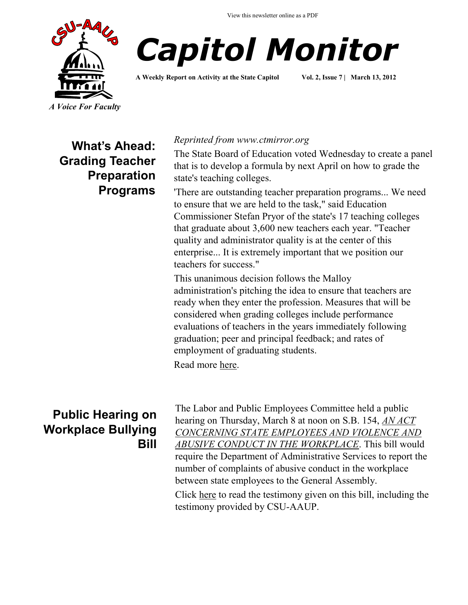



**A Weekly Report on Activity at the State Capitol Vol. 2, Issue 7 | March 13, 2012**

**What's Ahead: Grading Teacher Preparation Programs**

#### *Reprinted from www.ctmirror.org*

The State Board of Education voted Wednesday to create a panel that is to develop a formula by next April on how to grade the state's teaching colleges.

'There are outstanding teacher preparation programs... We need to ensure that we are held to the task," said Education Commissioner Stefan Pryor of the state's 17 teaching colleges that graduate about 3,600 new teachers each year. "Teacher quality and administrator quality is at the center of this enterprise... It is extremely important that we position our teachers for success."

This unanimous decision follows the Malloy administration's pitching the idea to ensure that teachers are ready when they enter the profession. Measures that will be considered when grading colleges include performance evaluations of teachers in the years immediately following graduation; peer and principal feedback; and rates of employment of graduating students.

Read more [here.](http://ctmirror.com/blogs/education-reform-next-stop-grading-teacher-prep-programs)

### **Public Hearing on Workplace Bullying Bill**

The Labor and Public Employees Committee held a public hearing on Thursday, March 8 at noon on S.B. 154, *[AN ACT](http://www.cga.ct.gov/2012/TOB/S/2012SB-00154-R00-SB.htm)  [CONCERNING STATE EMPLOYEES AND VIOLENCE AND](http://www.cga.ct.gov/2012/TOB/S/2012SB-00154-R00-SB.htm)  [ABUSIVE CONDUCT IN THE WORKPLACE](http://www.cga.ct.gov/2012/TOB/S/2012SB-00154-R00-SB.htm)*. This bill would require the Department of Administrative Services to report the number of complaints of abusive conduct in the workplace between state employees to the General Assembly.

Click [here](http://www.cga.ct.gov/asp/menu/CommDocTmyBillAllComm.asp?bill=SB-00154&doc_year=2012) to read the testimony given on this bill, including the testimony provided by CSU-AAUP.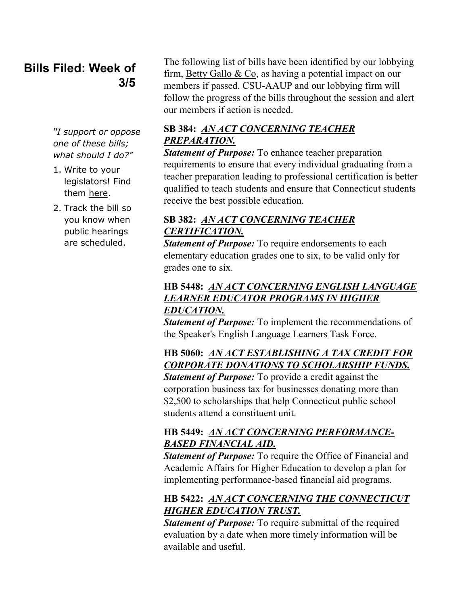## **Bills Filed: Week of 3/5**

*"I support or oppose one of these bills; what should I do?"*

- 1. Write to your legislators! Find them [here.](http://www.congressweb.com/cweb4/index.cfm?orgcode=BGAUP)
- 2. [Track](http://www.cga.ct.gov/aspx/CGAPublicBillTrack/Register.aspx) the bill so you know when public hearings are scheduled.

The following list of bills have been identified by our lobbying firm, [Betty Gallo & Co,](http://www.bettygallo.com/) as having a potential impact on our members if passed. CSU-AAUP and our lobbying firm will follow the progress of the bills throughout the session and alert our members if action is needed.

### **SB 384:** *[AN ACT CONCERNING TEACHER](http://www.cga.ct.gov/asp/cgabillstatus/cgabillstatus.asp?selBillType=Bill&bill_num=384&which_year=2012&SUBMIT1.x=0&SUBMIT1.y=0)  [PREPARATION.](http://www.cga.ct.gov/asp/cgabillstatus/cgabillstatus.asp?selBillType=Bill&bill_num=384&which_year=2012&SUBMIT1.x=0&SUBMIT1.y=0)*

*Statement of Purpose:* To enhance teacher preparation requirements to ensure that every individual graduating from a teacher preparation leading to professional certification is better qualified to teach students and ensure that Connecticut students receive the best possible education.

#### **SB 382:** *[AN ACT CONCERNING TEACHER](http://www.cga.ct.gov/asp/cgabillstatus/cgabillstatus.asp?selBillType=Bill&bill_num=382&which_year=2012&SUBMIT1.x=0&SUBMIT1.y=0)  [CERTIFICATION.](http://www.cga.ct.gov/asp/cgabillstatus/cgabillstatus.asp?selBillType=Bill&bill_num=382&which_year=2012&SUBMIT1.x=0&SUBMIT1.y=0)*

*Statement of Purpose:* To require endorsements to each elementary education grades one to six, to be valid only for grades one to six.

#### **HB 5448:** *[AN ACT CONCERNING ENGLISH LANGUAGE](http://www.cga.ct.gov/asp/cgabillstatus/cgabillstatus.asp?selBillType=Bill&bill_num=5448&which_year=2012&SUBMIT1.x=0&SUBMIT1.y=0)  [LEARNER EDUCATOR PROGRAMS IN HIGHER](http://www.cga.ct.gov/asp/cgabillstatus/cgabillstatus.asp?selBillType=Bill&bill_num=5448&which_year=2012&SUBMIT1.x=0&SUBMIT1.y=0)  [EDUCATION.](http://www.cga.ct.gov/asp/cgabillstatus/cgabillstatus.asp?selBillType=Bill&bill_num=5448&which_year=2012&SUBMIT1.x=0&SUBMIT1.y=0)*

*Statement of Purpose:* To implement the recommendations of the Speaker's English Language Learners Task Force.

### **HB 5060:** *[AN ACT ESTABLISHING A TAX CREDIT FOR](http://www.cga.ct.gov/asp/cgabillstatus/cgabillstatus.asp?selBillType=Bill&bill_num=5060&which_year=2012&SUBMIT1.x=0&SUBMIT1.y=0)  [CORPORATE DONATIONS TO SCHOLARSHIP FUNDS.](http://www.cga.ct.gov/asp/cgabillstatus/cgabillstatus.asp?selBillType=Bill&bill_num=5060&which_year=2012&SUBMIT1.x=0&SUBMIT1.y=0)*

*Statement of Purpose:* To provide a credit against the corporation business tax for businesses donating more than \$2,500 to scholarships that help Connecticut public school students attend a constituent unit.

#### **HB 5449:** *[AN ACT CONCERNING PERFORMANCE-](http://www.cga.ct.gov/asp/cgabillstatus/cgabillstatus.asp?selBillType=Bill&bill_num=5449&which_year=2012&SUBMIT1.x=0&SUBMIT1.y=0)[BASED FINANCIAL AID.](http://www.cga.ct.gov/asp/cgabillstatus/cgabillstatus.asp?selBillType=Bill&bill_num=5449&which_year=2012&SUBMIT1.x=0&SUBMIT1.y=0)*

*Statement of Purpose:* To require the Office of Financial and Academic Affairs for Higher Education to develop a plan for implementing performance-based financial aid programs.

### **HB 5422:** *[AN ACT CONCERNING THE CONNECTICUT](http://www.cga.ct.gov/asp/cgabillstatus/cgabillstatus.asp?selBillType=Bill&bill_num=5422&which_year=2012&SUBMIT1.x=0&SUBMIT1.y=0)  [HIGHER EDUCATION TRUST.](http://www.cga.ct.gov/asp/cgabillstatus/cgabillstatus.asp?selBillType=Bill&bill_num=5422&which_year=2012&SUBMIT1.x=0&SUBMIT1.y=0)*

*Statement of Purpose:* To require submittal of the required evaluation by a date when more timely information will be available and useful.